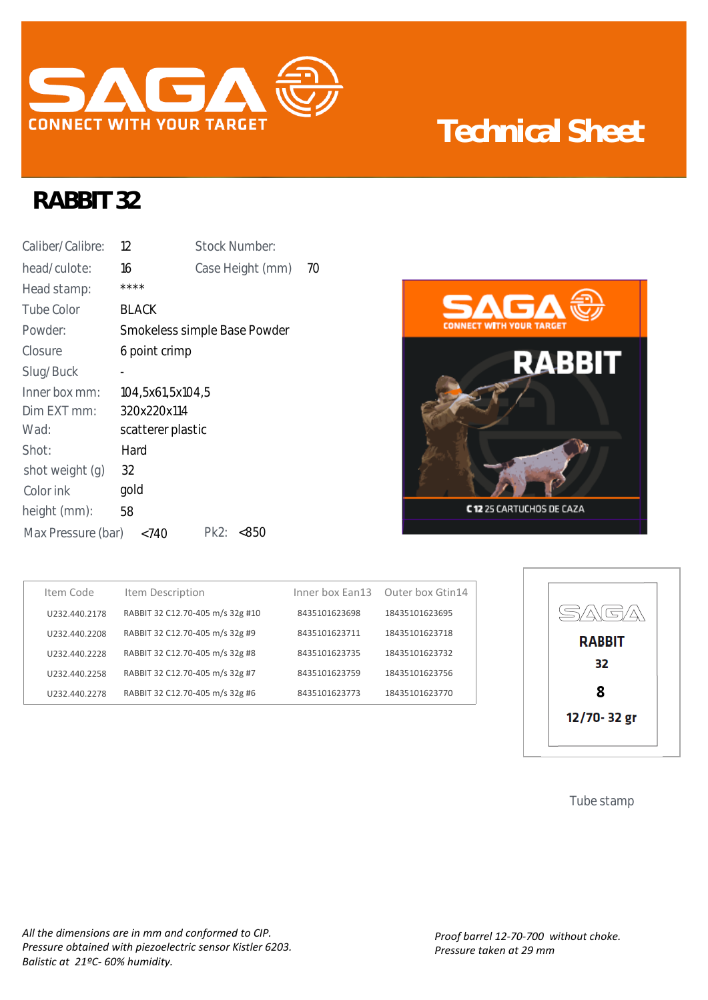

## **Technical Sheet**

## **RABBIT 32**

| Caliber/Calibre:   | 12                | <b>Stock Number:</b>         |    |
|--------------------|-------------------|------------------------------|----|
| head/culote:       | 16                | Case Height (mm)             | 70 |
| Head stamp:        | ****              |                              |    |
| Tube Color         | <b>BLACK</b>      |                              |    |
| Powder:            |                   | Smokeless simple Base Powder |    |
| Closure            | 6 point crimp     |                              |    |
| Slug/Buck          |                   |                              |    |
| Inner box mm:      | 104,5x61,5x104,5  |                              |    |
| Dim EXT mm:        | 320x220x114       |                              |    |
| Wad:               | scatterer plastic |                              |    |
| Shot:              | Hard              |                              |    |
| shot weight (g)    | 32                |                              |    |
| Color ink          | gold              |                              |    |
| height (mm):       | 58                |                              |    |
| Max Pressure (bar) | < 740             | Pk2:<br><850                 |    |



| Item Code     | Item Description                 |               | Inner box Ean13 Outer box Gtin14 |
|---------------|----------------------------------|---------------|----------------------------------|
| U232.440.2178 | RABBIT 32 C12.70-405 m/s 32g #10 | 8435101623698 | 18435101623695                   |
| U232.440.2208 | RABBIT 32 C12.70-405 m/s 32g #9  | 8435101623711 | 18435101623718                   |
| U232.440.2228 | RABBIT 32 C12.70-405 m/s 32g #8  | 8435101623735 | 18435101623732                   |
| U232.440.2258 | RABBIT 32 C12.70-405 m/s 32g #7  | 8435101623759 | 18435101623756                   |
| U232.440.2278 | RABBIT 32 C12.70-405 m/s 32g #6  | 8435101623773 | 18435101623770                   |



Tube stamp